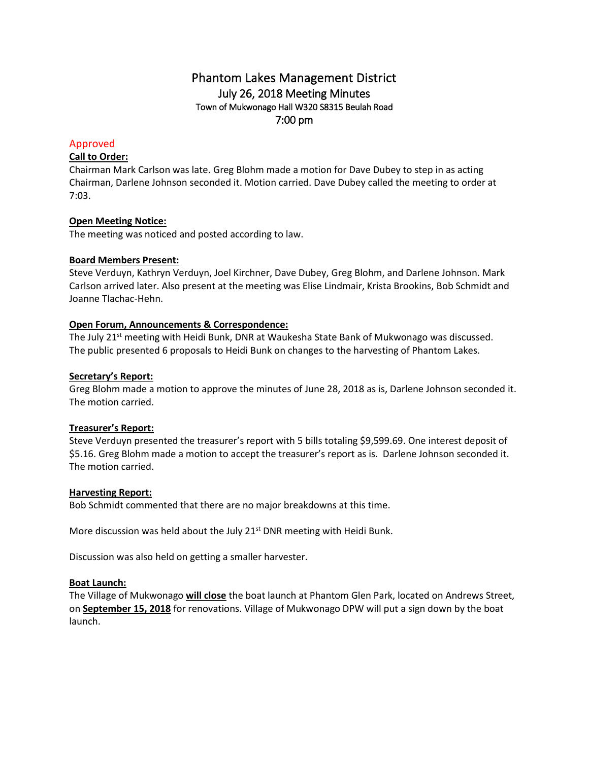# Phantom Lakes Management District July 26, 2018 Meeting Minutes Town of Mukwonago Hall W320 S8315 Beulah Road 7:00 pm

## Approved

## **Call to Order:**

Chairman Mark Carlson was late. Greg Blohm made a motion for Dave Dubey to step in as acting Chairman, Darlene Johnson seconded it. Motion carried. Dave Dubey called the meeting to order at 7:03.

## **Open Meeting Notice:**

The meeting was noticed and posted according to law.

## **Board Members Present:**

Steve Verduyn, Kathryn Verduyn, Joel Kirchner, Dave Dubey, Greg Blohm, and Darlene Johnson. Mark Carlson arrived later. Also present at the meeting was Elise Lindmair, Krista Brookins, Bob Schmidt and Joanne Tlachac-Hehn.

## **Open Forum, Announcements & Correspondence:**

The July 21<sup>st</sup> meeting with Heidi Bunk, DNR at Waukesha State Bank of Mukwonago was discussed. The public presented 6 proposals to Heidi Bunk on changes to the harvesting of Phantom Lakes.

#### **Secretary's Report:**

Greg Blohm made a motion to approve the minutes of June 28, 2018 as is, Darlene Johnson seconded it. The motion carried.

## **Treasurer's Report:**

Steve Verduyn presented the treasurer's report with 5 bills totaling \$9,599.69. One interest deposit of \$5.16. Greg Blohm made a motion to accept the treasurer's report as is. Darlene Johnson seconded it. The motion carried.

#### **Harvesting Report:**

Bob Schmidt commented that there are no major breakdowns at this time.

More discussion was held about the July 21<sup>st</sup> DNR meeting with Heidi Bunk.

Discussion was also held on getting a smaller harvester.

#### **Boat Launch:**

The Village of Mukwonago **will close** the boat launch at Phantom Glen Park, located on Andrews Street, on **September 15, 2018** for renovations. Village of Mukwonago DPW will put a sign down by the boat launch.